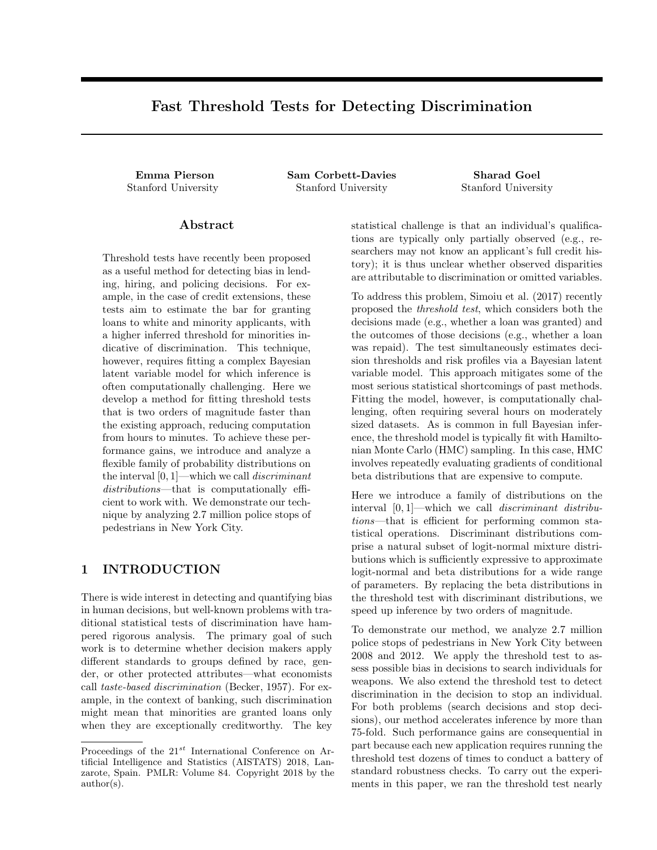# Fast Threshold Tests for Detecting Discrimination

Emma Pierson Sam Corbett-Davies Sharad Goel Stanford University Stanford University Stanford University

#### Abstract

Threshold tests have recently been proposed as a useful method for detecting bias in lending, hiring, and policing decisions. For example, in the case of credit extensions, these tests aim to estimate the bar for granting loans to white and minority applicants, with a higher inferred threshold for minorities indicative of discrimination. This technique, however, requires fitting a complex Bayesian latent variable model for which inference is often computationally challenging. Here we develop a method for fitting threshold tests that is two orders of magnitude faster than the existing approach, reducing computation from hours to minutes. To achieve these performance gains, we introduce and analyze a flexible family of probability distributions on the interval  $[0, 1]$ —which we call *discriminant* distributions—that is computationally efficient to work with. We demonstrate our technique by analyzing 2.7 million police stops of pedestrians in New York City.

### 1 INTRODUCTION

There is wide interest in detecting and quantifying bias in human decisions, but well-known problems with traditional statistical tests of discrimination have hampered rigorous analysis. The primary goal of such work is to determine whether decision makers apply different standards to groups defined by race, gender, or other protected attributes—what economists call taste-based discrimination (Becker, 1957). For example, in the context of banking, such discrimination might mean that minorities are granted loans only when they are exceptionally creditworthy. The key

statistical challenge is that an individual's qualifications are typically only partially observed (e.g., researchers may not know an applicant's full credit history); it is thus unclear whether observed disparities are attributable to discrimination or omitted variables.

To address this problem, Simoiu et al. (2017) recently proposed the threshold test, which considers both the decisions made (e.g., whether a loan was granted) and the outcomes of those decisions (e.g., whether a loan was repaid). The test simultaneously estimates decision thresholds and risk profiles via a Bayesian latent variable model. This approach mitigates some of the most serious statistical shortcomings of past methods. Fitting the model, however, is computationally challenging, often requiring several hours on moderately sized datasets. As is common in full Bayesian inference, the threshold model is typically fit with Hamiltonian Monte Carlo (HMC) sampling. In this case, HMC involves repeatedly evaluating gradients of conditional beta distributions that are expensive to compute.

Here we introduce a family of distributions on the interval [0, 1]—which we call discriminant distributions—that is efficient for performing common statistical operations. Discriminant distributions comprise a natural subset of logit-normal mixture distributions which is sufficiently expressive to approximate logit-normal and beta distributions for a wide range of parameters. By replacing the beta distributions in the threshold test with discriminant distributions, we speed up inference by two orders of magnitude.

To demonstrate our method, we analyze 2.7 million police stops of pedestrians in New York City between 2008 and 2012. We apply the threshold test to assess possible bias in decisions to search individuals for weapons. We also extend the threshold test to detect discrimination in the decision to stop an individual. For both problems (search decisions and stop decisions), our method accelerates inference by more than 75-fold. Such performance gains are consequential in part because each new application requires running the threshold test dozens of times to conduct a battery of standard robustness checks. To carry out the experiments in this paper, we ran the threshold test nearly

Proceedings of the  $21^{st}$  International Conference on Artificial Intelligence and Statistics (AISTATS) 2018, Lanzarote, Spain. PMLR: Volume 84. Copyright 2018 by the author(s).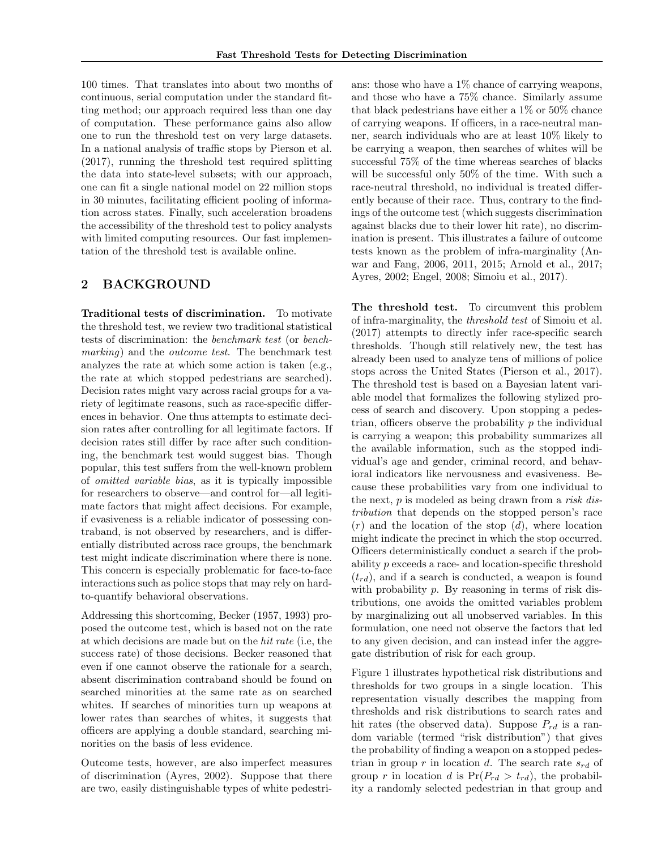100 times. That translates into about two months of continuous, serial computation under the standard fitting method; our approach required less than one day of computation. These performance gains also allow one to run the threshold test on very large datasets. In a national analysis of traffic stops by Pierson et al. (2017), running the threshold test required splitting the data into state-level subsets; with our approach, one can fit a single national model on 22 million stops in 30 minutes, facilitating efficient pooling of information across states. Finally, such acceleration broadens the accessibility of the threshold test to policy analysts with limited computing resources. Our fast implementation of the threshold test is available online.

### 2 BACKGROUND

Traditional tests of discrimination. To motivate the threshold test, we review two traditional statistical tests of discrimination: the benchmark test (or benchmarking) and the *outcome test*. The benchmark test analyzes the rate at which some action is taken (e.g., the rate at which stopped pedestrians are searched). Decision rates might vary across racial groups for a variety of legitimate reasons, such as race-specific differences in behavior. One thus attempts to estimate decision rates after controlling for all legitimate factors. If decision rates still differ by race after such conditioning, the benchmark test would suggest bias. Though popular, this test suffers from the well-known problem of omitted variable bias, as it is typically impossible for researchers to observe—and control for—all legitimate factors that might affect decisions. For example, if evasiveness is a reliable indicator of possessing contraband, is not observed by researchers, and is differentially distributed across race groups, the benchmark test might indicate discrimination where there is none. This concern is especially problematic for face-to-face interactions such as police stops that may rely on hardto-quantify behavioral observations.

Addressing this shortcoming, Becker (1957, 1993) proposed the outcome test, which is based not on the rate at which decisions are made but on the hit rate (i.e, the success rate) of those decisions. Becker reasoned that even if one cannot observe the rationale for a search, absent discrimination contraband should be found on searched minorities at the same rate as on searched whites. If searches of minorities turn up weapons at lower rates than searches of whites, it suggests that officers are applying a double standard, searching minorities on the basis of less evidence.

Outcome tests, however, are also imperfect measures of discrimination (Ayres, 2002). Suppose that there are two, easily distinguishable types of white pedestrians: those who have a  $1\%$  chance of carrying weapons, and those who have a 75% chance. Similarly assume that black pedestrians have either a 1% or 50% chance of carrying weapons. If officers, in a race-neutral manner, search individuals who are at least 10% likely to be carrying a weapon, then searches of whites will be successful 75% of the time whereas searches of blacks will be successful only 50% of the time. With such a race-neutral threshold, no individual is treated differently because of their race. Thus, contrary to the findings of the outcome test (which suggests discrimination against blacks due to their lower hit rate), no discrimination is present. This illustrates a failure of outcome tests known as the problem of infra-marginality (Anwar and Fang, 2006, 2011, 2015; Arnold et al., 2017; Ayres, 2002; Engel, 2008; Simoiu et al., 2017).

The threshold test. To circumvent this problem of infra-marginality, the threshold test of Simoiu et al. (2017) attempts to directly infer race-specific search thresholds. Though still relatively new, the test has already been used to analyze tens of millions of police stops across the United States (Pierson et al., 2017). The threshold test is based on a Bayesian latent variable model that formalizes the following stylized process of search and discovery. Upon stopping a pedestrian, officers observe the probability  $p$  the individual is carrying a weapon; this probability summarizes all the available information, such as the stopped individual's age and gender, criminal record, and behavioral indicators like nervousness and evasiveness. Because these probabilities vary from one individual to the next,  $p$  is modeled as being drawn from a *risk dis*tribution that depends on the stopped person's race  $(r)$  and the location of the stop  $(d)$ , where location might indicate the precinct in which the stop occurred. Officers deterministically conduct a search if the probability p exceeds a race- and location-specific threshold  $(t_{rd})$ , and if a search is conducted, a weapon is found with probability  $p$ . By reasoning in terms of risk distributions, one avoids the omitted variables problem by marginalizing out all unobserved variables. In this formulation, one need not observe the factors that led to any given decision, and can instead infer the aggregate distribution of risk for each group.

Figure 1 illustrates hypothetical risk distributions and thresholds for two groups in a single location. This representation visually describes the mapping from thresholds and risk distributions to search rates and hit rates (the observed data). Suppose  $P_{rd}$  is a random variable (termed "risk distribution") that gives the probability of finding a weapon on a stopped pedestrian in group r in location d. The search rate  $s_{rd}$  of group r in location d is  $Pr(P_{rd} > t_{rd})$ , the probability a randomly selected pedestrian in that group and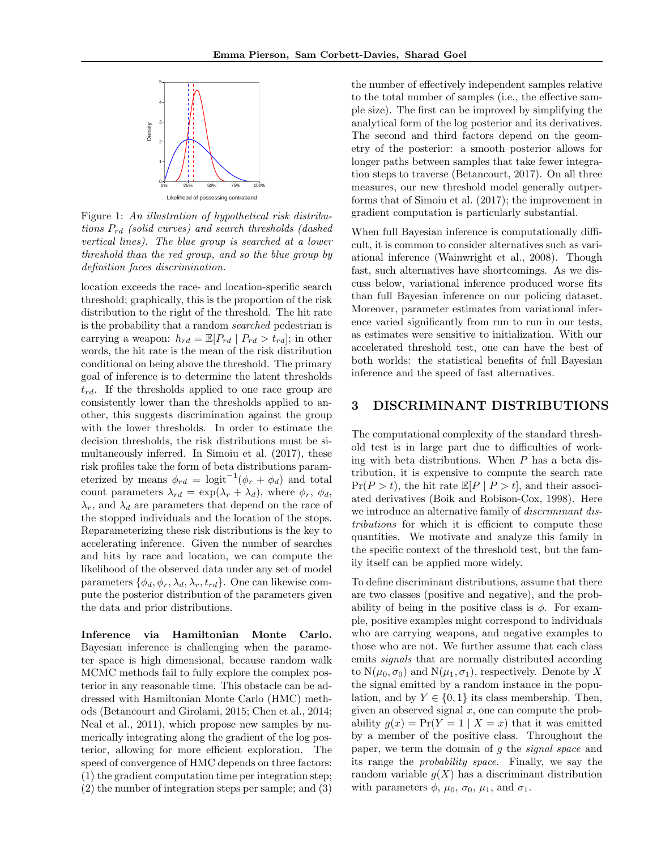

Figure 1: An illustration of hypothetical risk distributions  $P_{rd}$  (solid curves) and search thresholds (dashed vertical lines). The blue group is searched at a lower threshold than the red group, and so the blue group by definition faces discrimination.

location exceeds the race- and location-specific search threshold; graphically, this is the proportion of the risk distribution to the right of the threshold. The hit rate is the probability that a random searched pedestrian is carrying a weapon:  $h_{rd} = \mathbb{E}[P_{rd} | P_{rd} > t_{rd}]$ ; in other words, the hit rate is the mean of the risk distribution conditional on being above the threshold. The primary goal of inference is to determine the latent thresholds  $t_{rd}$ . If the thresholds applied to one race group are consistently lower than the thresholds applied to another, this suggests discrimination against the group with the lower thresholds. In order to estimate the decision thresholds, the risk distributions must be simultaneously inferred. In Simoiu et al. (2017), these risk profiles take the form of beta distributions parameterized by means  $\phi_{rd} = \text{logit}^{-1}(\phi_r + \phi_d)$  and total count parameters  $\lambda_{rd} = \exp(\lambda_r + \lambda_d)$ , where  $\phi_r$ ,  $\phi_d$ ,  $\lambda_r$ , and  $\lambda_d$  are parameters that depend on the race of the stopped individuals and the location of the stops. Reparameterizing these risk distributions is the key to accelerating inference. Given the number of searches and hits by race and location, we can compute the likelihood of the observed data under any set of model parameters  $\{\phi_d, \phi_r, \lambda_d, \lambda_r, t_{rd}\}.$  One can likewise compute the posterior distribution of the parameters given the data and prior distributions.

Inference via Hamiltonian Monte Carlo. Bayesian inference is challenging when the parameter space is high dimensional, because random walk MCMC methods fail to fully explore the complex posterior in any reasonable time. This obstacle can be addressed with Hamiltonian Monte Carlo (HMC) methods (Betancourt and Girolami, 2015; Chen et al., 2014; Neal et al., 2011), which propose new samples by numerically integrating along the gradient of the log posterior, allowing for more efficient exploration. The speed of convergence of HMC depends on three factors: (1) the gradient computation time per integration step; (2) the number of integration steps per sample; and (3)

the number of effectively independent samples relative to the total number of samples (i.e., the effective sample size). The first can be improved by simplifying the analytical form of the log posterior and its derivatives. The second and third factors depend on the geometry of the posterior: a smooth posterior allows for longer paths between samples that take fewer integration steps to traverse (Betancourt, 2017). On all three measures, our new threshold model generally outperforms that of Simoiu et al. (2017); the improvement in gradient computation is particularly substantial.

When full Bayesian inference is computationally difficult, it is common to consider alternatives such as variational inference (Wainwright et al., 2008). Though fast, such alternatives have shortcomings. As we discuss below, variational inference produced worse fits than full Bayesian inference on our policing dataset. Moreover, parameter estimates from variational inference varied significantly from run to run in our tests, as estimates were sensitive to initialization. With our accelerated threshold test, one can have the best of both worlds: the statistical benefits of full Bayesian inference and the speed of fast alternatives.

#### 3 DISCRIMINANT DISTRIBUTIONS

The computational complexity of the standard threshold test is in large part due to difficulties of working with beta distributions. When  $P$  has a beta distribution, it is expensive to compute the search rate  $Pr(P > t)$ , the hit rate  $\mathbb{E}[P | P > t]$ , and their associated derivatives (Boik and Robison-Cox, 1998). Here we introduce an alternative family of *discriminant dis*tributions for which it is efficient to compute these quantities. We motivate and analyze this family in the specific context of the threshold test, but the family itself can be applied more widely.

To define discriminant distributions, assume that there are two classes (positive and negative), and the probability of being in the positive class is  $\phi$ . For example, positive examples might correspond to individuals who are carrying weapons, and negative examples to those who are not. We further assume that each class emits signals that are normally distributed according to  $N(\mu_0, \sigma_0)$  and  $N(\mu_1, \sigma_1)$ , respectively. Denote by X the signal emitted by a random instance in the population, and by  $Y \in \{0, 1\}$  its class membership. Then, given an observed signal  $x$ , one can compute the probability  $g(x) = Pr(Y = 1 | X = x)$  that it was emitted by a member of the positive class. Throughout the paper, we term the domain of g the signal space and its range the probability space. Finally, we say the random variable  $g(X)$  has a discriminant distribution with parameters  $\phi$ ,  $\mu_0$ ,  $\sigma_0$ ,  $\mu_1$ , and  $\sigma_1$ .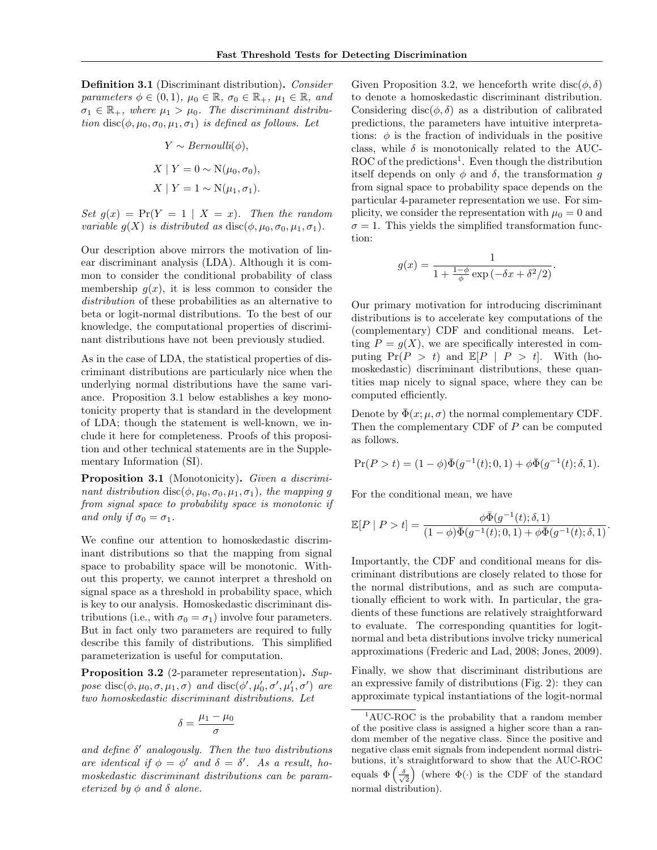Definition 3.1 (Discriminant distribution). Consider parameters  $\phi \in (0,1)$ ,  $\mu_0 \in \mathbb{R}$ ,  $\sigma_0 \in \mathbb{R}_+$ ,  $\mu_1 \in \mathbb{R}$ , and  $\sigma_1 \in \mathbb{R}_+$ , where  $\mu_1 > \mu_0$ . The discriminant distribution disc( $\phi, \mu_0, \sigma_0, \mu_1, \sigma_1$ ) is defined as follows. Let

$$
Y \sim Bernoulli(\phi),
$$
  

$$
X \mid Y = 0 \sim \mathcal{N}(\mu_0, \sigma_0),
$$
  

$$
X \mid Y = 1 \sim \mathcal{N}(\mu_1, \sigma_1).
$$

Set  $q(x) = Pr(Y = 1 | X = x)$ . Then the random variable  $g(X)$  is distributed as  $\text{disc}(\phi, \mu_0, \sigma_0, \mu_1, \sigma_1)$ .

Our description above mirrors the motivation of linear discriminant analysis (LDA). Although it is common to consider the conditional probability of class membership  $g(x)$ , it is less common to consider the distribution of these probabilities as an alternative to beta or logit-normal distributions. To the best of our knowledge, the computational properties of discriminant distributions have not been previously studied.

As in the case of LDA, the statistical properties of discriminant distributions are particularly nice when the underlying normal distributions have the same variance. Proposition 3.1 below establishes a key monotonicity property that is standard in the development of LDA; though the statement is well-known, we include it here for completeness. Proofs of this proposition and other technical statements are in the Supplementary Information (SI).

Proposition 3.1 (Monotonicity). Given a discriminant distribution disc( $\phi, \mu_0, \sigma_0, \mu_1, \sigma_1$ ), the mapping g from signal space to probability space is monotonic if and only if  $\sigma_0 = \sigma_1$ .

We confine our attention to homoskedastic discriminant distributions so that the mapping from signal space to probability space will be monotonic. Without this property, we cannot interpret a threshold on signal space as a threshold in probability space, which is key to our analysis. Homoskedastic discriminant distributions (i.e., with  $\sigma_0 = \sigma_1$ ) involve four parameters. But in fact only two parameters are required to fully describe this family of distributions. This simplified parameterization is useful for computation.

Proposition 3.2 (2-parameter representation). Suppose disc $(\phi, \mu_0, \sigma, \mu_1, \sigma)$  and disc $(\phi', \mu'_0, \sigma', \mu'_1, \sigma')$  are two homoskedastic discriminant distributions. Let

$$
\delta = \frac{\mu_1 - \mu_0}{\sigma}
$$

and define  $\delta'$  analogously. Then the two distributions are identical if  $\phi = \phi'$  and  $\delta = \delta'$ . As a result, homoskedastic discriminant distributions can be parameterized by  $\phi$  and  $\delta$  alone.

Given Proposition 3.2, we henceforth write disc( $\phi$ ,  $\delta$ ) to denote a homoskedastic discriminant distribution. Considering disc( $\phi$ ,  $\delta$ ) as a distribution of calibrated predictions, the parameters have intuitive interpretations:  $\phi$  is the fraction of individuals in the positive class, while  $\delta$  is monotonically related to the AUC-ROC of the predictions<sup>1</sup>. Even though the distribution itself depends on only  $\phi$  and  $\delta$ , the transformation q from signal space to probability space depends on the particular 4-parameter representation we use. For simplicity, we consider the representation with  $\mu_0 = 0$  and  $\sigma = 1$ . This yields the simplified transformation function:

$$
g(x) = \frac{1}{1 + \frac{1 - \phi}{\phi} \exp\left(-\delta x + \delta^2/2\right)}.
$$

Our primary motivation for introducing discriminant distributions is to accelerate key computations of the (complementary) CDF and conditional means. Letting  $P = q(X)$ , we are specifically interested in computing  $Pr(P > t)$  and  $E[P | P > t]$ . With (homoskedastic) discriminant distributions, these quantities map nicely to signal space, where they can be computed efficiently.

Denote by  $\bar{\Phi}(x;\mu,\sigma)$  the normal complementary CDF. Then the complementary CDF of P can be computed as follows.

$$
Pr(P > t) = (1 - \phi)\overline{\Phi}(g^{-1}(t); 0, 1) + \phi\overline{\Phi}(g^{-1}(t); \delta, 1).
$$

For the conditional mean, we have

$$
\mathbb{E}[P | P > t] = \frac{\phi \bar{\Phi}(g^{-1}(t); \delta, 1)}{(1 - \phi)\bar{\Phi}(g^{-1}(t); 0, 1) + \phi \bar{\Phi}(g^{-1}(t); \delta, 1)}.
$$

Importantly, the CDF and conditional means for discriminant distributions are closely related to those for the normal distributions, and as such are computationally efficient to work with. In particular, the gradients of these functions are relatively straightforward to evaluate. The corresponding quantities for logitnormal and beta distributions involve tricky numerical approximations (Frederic and Lad, 2008; Jones, 2009).

Finally, we show that discriminant distributions are an expressive family of distributions (Fig. 2): they can approximate typical instantiations of the logit-normal

<sup>&</sup>lt;sup>1</sup>AUC-ROC is the probability that a random member of the positive class is assigned a higher score than a random member of the negative class. Since the positive and negative class emit signals from independent normal distributions, it's straightforward to show that the AUC-ROC equals  $\Phi\left(\frac{\delta}{\sqrt{2}}\right)$  (where  $\Phi(\cdot)$  is the CDF of the standard normal distribution).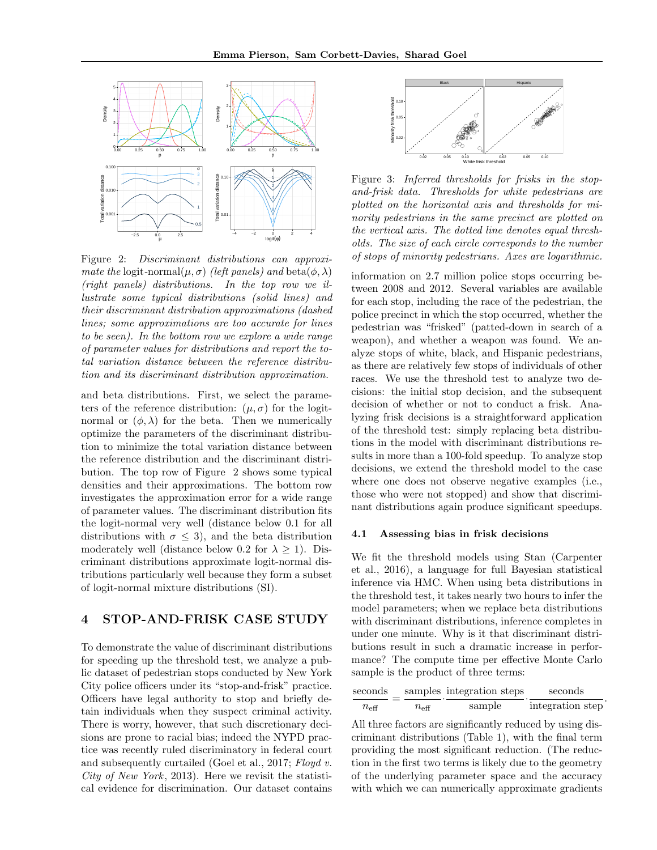

Figure 2: Discriminant distributions can approximate the logit-normal $(\mu, \sigma)$  (left panels) and beta $(\phi, \lambda)$ (right panels) distributions. In the top row we illustrate some typical distributions (solid lines) and their discriminant distribution approximations (dashed lines; some approximations are too accurate for lines to be seen). In the bottom row we explore a wide range of parameter values for distributions and report the total variation distance between the reference distribution and its discriminant distribution approximation.

and beta distributions. First, we select the parameters of the reference distribution:  $(\mu, \sigma)$  for the logitnormal or  $(\phi, \lambda)$  for the beta. Then we numerically optimize the parameters of the discriminant distribution to minimize the total variation distance between the reference distribution and the discriminant distribution. The top row of Figure 2 shows some typical densities and their approximations. The bottom row investigates the approximation error for a wide range of parameter values. The discriminant distribution fits the logit-normal very well (distance below 0.1 for all distributions with  $\sigma \leq 3$ , and the beta distribution moderately well (distance below 0.2 for  $\lambda \geq 1$ ). Discriminant distributions approximate logit-normal distributions particularly well because they form a subset of logit-normal mixture distributions (SI).

## 4 STOP-AND-FRISK CASE STUDY

To demonstrate the value of discriminant distributions for speeding up the threshold test, we analyze a public dataset of pedestrian stops conducted by New York City police officers under its "stop-and-frisk" practice. Officers have legal authority to stop and briefly detain individuals when they suspect criminal activity. There is worry, however, that such discretionary decisions are prone to racial bias; indeed the NYPD practice was recently ruled discriminatory in federal court and subsequently curtailed (Goel et al., 2017; Floyd v. City of New York, 2013). Here we revisit the statistical evidence for discrimination. Our dataset contains



Figure 3: Inferred thresholds for frisks in the stopand-frisk data. Thresholds for white pedestrians are plotted on the horizontal axis and thresholds for minority pedestrians in the same precinct are plotted on the vertical axis. The dotted line denotes equal thresholds. The size of each circle corresponds to the number of stops of minority pedestrians. Axes are logarithmic.

information on 2.7 million police stops occurring between 2008 and 2012. Several variables are available for each stop, including the race of the pedestrian, the police precinct in which the stop occurred, whether the pedestrian was "frisked" (patted-down in search of a weapon), and whether a weapon was found. We analyze stops of white, black, and Hispanic pedestrians, as there are relatively few stops of individuals of other races. We use the threshold test to analyze two decisions: the initial stop decision, and the subsequent decision of whether or not to conduct a frisk. Analyzing frisk decisions is a straightforward application of the threshold test: simply replacing beta distributions in the model with discriminant distributions results in more than a 100-fold speedup. To analyze stop decisions, we extend the threshold model to the case where one does not observe negative examples (i.e., those who were not stopped) and show that discriminant distributions again produce significant speedups.

#### 4.1 Assessing bias in frisk decisions

We fit the threshold models using Stan (Carpenter et al., 2016), a language for full Bayesian statistical inference via HMC. When using beta distributions in the threshold test, it takes nearly two hours to infer the model parameters; when we replace beta distributions with discriminant distributions, inference completes in under one minute. Why is it that discriminant distributions result in such a dramatic increase in performance? The compute time per effective Monte Carlo sample is the product of three terms:

| seconds       |                  | samples integration steps | seconds          |
|---------------|------------------|---------------------------|------------------|
| $n_{\rm eff}$ | $n_{\text{eff}}$ | sample                    | integration step |

All three factors are significantly reduced by using discriminant distributions (Table 1), with the final term providing the most significant reduction. (The reduction in the first two terms is likely due to the geometry of the underlying parameter space and the accuracy with which we can numerically approximate gradients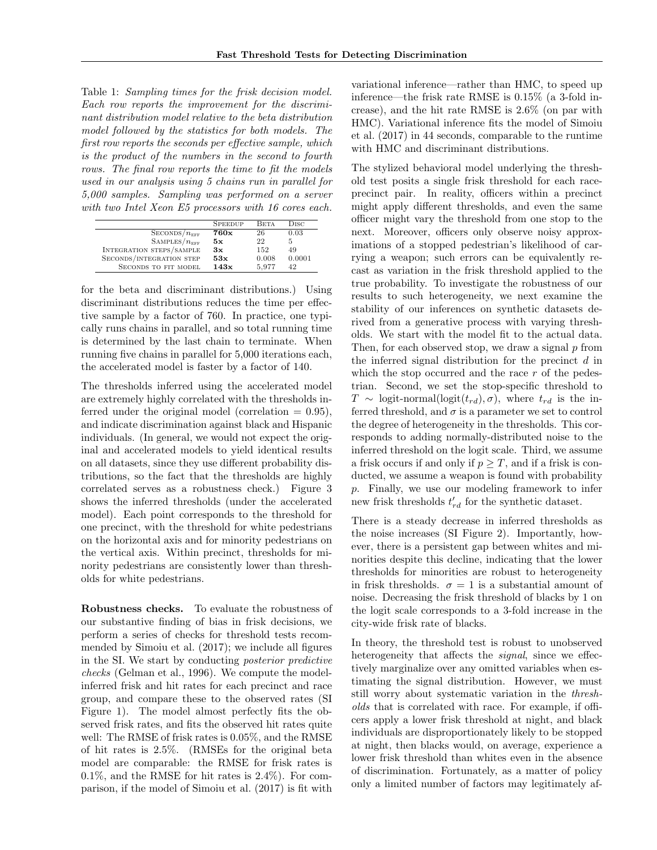Table 1: Sampling times for the frisk decision model. Each row reports the improvement for the discriminant distribution model relative to the beta distribution model followed by the statistics for both models. The first row reports the seconds per effective sample, which is the product of the numbers in the second to fourth rows. The final row reports the time to fit the models used in our analysis using 5 chains run in parallel for 5,000 samples. Sampling was performed on a server with two Intel Xeon E5 processors with 16 cores each.

|                                 | <b>SPEEDUP</b> | <b>BETA</b> | Disc   |
|---------------------------------|----------------|-------------|--------|
| SECONDS/n <sub>EFF</sub>        | 760x           | 26          | 0.03   |
| $\text{SAMPLES}/n_{\text{EFF}}$ | 5x             | 22          | 5      |
| <b>INTEGRATION STEPS/SAMPLE</b> | 3x             | 152         | 49     |
| SECONDS/INTEGRATION STEP        | 53x            | 0.008       | 0.0001 |
| SECONDS TO FIT MODEL            | 143x           | 5.977       | 42     |

for the beta and discriminant distributions.) Using discriminant distributions reduces the time per effective sample by a factor of 760. In practice, one typically runs chains in parallel, and so total running time is determined by the last chain to terminate. When running five chains in parallel for 5,000 iterations each, the accelerated model is faster by a factor of 140.

The thresholds inferred using the accelerated model are extremely highly correlated with the thresholds inferred under the original model (correlation  $= 0.95$ ), and indicate discrimination against black and Hispanic individuals. (In general, we would not expect the original and accelerated models to yield identical results on all datasets, since they use different probability distributions, so the fact that the thresholds are highly correlated serves as a robustness check.) Figure 3 shows the inferred thresholds (under the accelerated model). Each point corresponds to the threshold for one precinct, with the threshold for white pedestrians on the horizontal axis and for minority pedestrians on the vertical axis. Within precinct, thresholds for minority pedestrians are consistently lower than thresholds for white pedestrians.

Robustness checks. To evaluate the robustness of our substantive finding of bias in frisk decisions, we perform a series of checks for threshold tests recommended by Simoiu et al. (2017); we include all figures in the SI. We start by conducting posterior predictive checks (Gelman et al., 1996). We compute the modelinferred frisk and hit rates for each precinct and race group, and compare these to the observed rates (SI Figure 1). The model almost perfectly fits the observed frisk rates, and fits the observed hit rates quite well: The RMSE of frisk rates is 0.05%, and the RMSE of hit rates is 2.5%. (RMSEs for the original beta model are comparable: the RMSE for frisk rates is 0.1%, and the RMSE for hit rates is 2.4%). For comparison, if the model of Simoiu et al. (2017) is fit with

variational inference—rather than HMC, to speed up inference—the frisk rate RMSE is 0.15% (a 3-fold increase), and the hit rate RMSE is 2.6% (on par with HMC). Variational inference fits the model of Simoiu et al. (2017) in 44 seconds, comparable to the runtime with HMC and discriminant distributions.

The stylized behavioral model underlying the threshold test posits a single frisk threshold for each raceprecinct pair. In reality, officers within a precinct might apply different thresholds, and even the same officer might vary the threshold from one stop to the next. Moreover, officers only observe noisy approximations of a stopped pedestrian's likelihood of carrying a weapon; such errors can be equivalently recast as variation in the frisk threshold applied to the true probability. To investigate the robustness of our results to such heterogeneity, we next examine the stability of our inferences on synthetic datasets derived from a generative process with varying thresholds. We start with the model fit to the actual data. Then, for each observed stop, we draw a signal  $p$  from the inferred signal distribution for the precinct  $d$  in which the stop occurred and the race  $r$  of the pedestrian. Second, we set the stop-specific threshold to  $T \sim$  logit-normal(logit $(t_{rd}), \sigma$ ), where  $t_{rd}$  is the inferred threshold, and  $\sigma$  is a parameter we set to control the degree of heterogeneity in the thresholds. This corresponds to adding normally-distributed noise to the inferred threshold on the logit scale. Third, we assume a frisk occurs if and only if  $p \geq T$ , and if a frisk is conducted, we assume a weapon is found with probability p. Finally, we use our modeling framework to infer new frisk thresholds  $t'_{rd}$  for the synthetic dataset.

There is a steady decrease in inferred thresholds as the noise increases (SI Figure 2). Importantly, however, there is a persistent gap between whites and minorities despite this decline, indicating that the lower thresholds for minorities are robust to heterogeneity in frisk thresholds.  $\sigma = 1$  is a substantial amount of noise. Decreasing the frisk threshold of blacks by 1 on the logit scale corresponds to a 3-fold increase in the city-wide frisk rate of blacks.

In theory, the threshold test is robust to unobserved heterogeneity that affects the *signal*, since we effectively marginalize over any omitted variables when estimating the signal distribution. However, we must still worry about systematic variation in the thresholds that is correlated with race. For example, if officers apply a lower frisk threshold at night, and black individuals are disproportionately likely to be stopped at night, then blacks would, on average, experience a lower frisk threshold than whites even in the absence of discrimination. Fortunately, as a matter of policy only a limited number of factors may legitimately af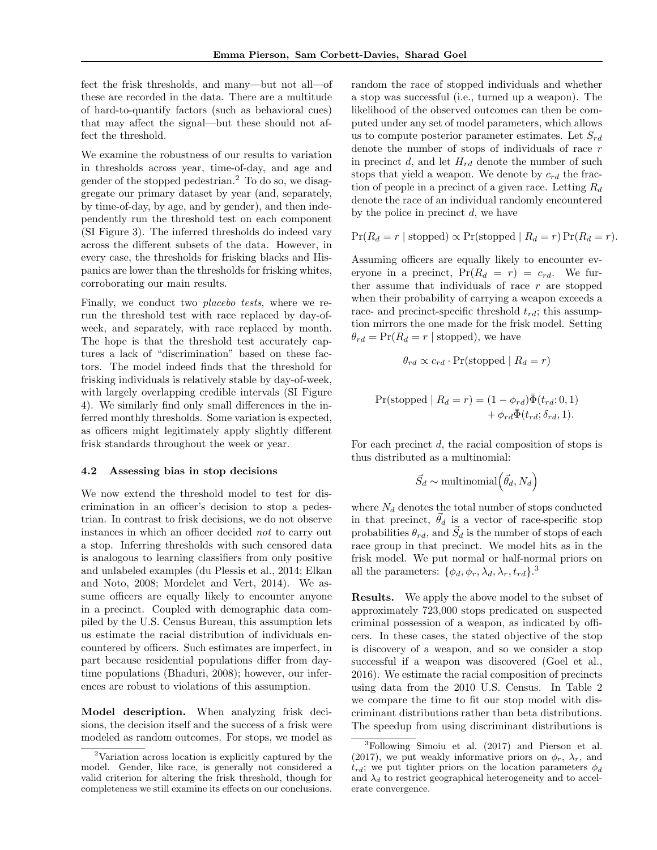fect the frisk thresholds, and many—but not all—of these are recorded in the data. There are a multitude of hard-to-quantify factors (such as behavioral cues) that may affect the signal—but these should not affect the threshold.

We examine the robustness of our results to variation in thresholds across year, time-of-day, and age and gender of the stopped pedestrian.<sup>2</sup> To do so, we disaggregate our primary dataset by year (and, separately, by time-of-day, by age, and by gender), and then independently run the threshold test on each component (SI Figure 3). The inferred thresholds do indeed vary across the different subsets of the data. However, in every case, the thresholds for frisking blacks and Hispanics are lower than the thresholds for frisking whites, corroborating our main results.

Finally, we conduct two *placebo tests*, where we rerun the threshold test with race replaced by day-ofweek, and separately, with race replaced by month. The hope is that the threshold test accurately captures a lack of "discrimination" based on these factors. The model indeed finds that the threshold for frisking individuals is relatively stable by day-of-week, with largely overlapping credible intervals (SI Figure 4). We similarly find only small differences in the inferred monthly thresholds. Some variation is expected, as officers might legitimately apply slightly different frisk standards throughout the week or year.

#### 4.2 Assessing bias in stop decisions

We now extend the threshold model to test for discrimination in an officer's decision to stop a pedestrian. In contrast to frisk decisions, we do not observe instances in which an officer decided not to carry out a stop. Inferring thresholds with such censored data is analogous to learning classifiers from only positive and unlabeled examples (du Plessis et al., 2014; Elkan and Noto, 2008; Mordelet and Vert, 2014). We assume officers are equally likely to encounter anyone in a precinct. Coupled with demographic data compiled by the U.S. Census Bureau, this assumption lets us estimate the racial distribution of individuals encountered by officers. Such estimates are imperfect, in part because residential populations differ from daytime populations (Bhaduri, 2008); however, our inferences are robust to violations of this assumption.

Model description. When analyzing frisk decisions, the decision itself and the success of a frisk were modeled as random outcomes. For stops, we model as

random the race of stopped individuals and whether a stop was successful (i.e., turned up a weapon). The likelihood of the observed outcomes can then be computed under any set of model parameters, which allows us to compute posterior parameter estimates. Let  $S_{rd}$ denote the number of stops of individuals of race r in precinct d, and let  $H_{rd}$  denote the number of such stops that yield a weapon. We denote by  $c_{rd}$  the fraction of people in a precinct of a given race. Letting  $R_d$ denote the race of an individual randomly encountered by the police in precinct  $d$ , we have

$$
Pr(R_d = r | stopped) \propto Pr(stopped | R_d = r) Pr(R_d = r).
$$

Assuming officers are equally likely to encounter everyone in a precinct,  $Pr(R_d = r) = c_{rd}$ . We further assume that individuals of race  $r$  are stopped when their probability of carrying a weapon exceeds a race- and precinct-specific threshold  $t_{rd}$ ; this assumption mirrors the one made for the frisk model. Setting  $\theta_{rd} = \Pr(R_d = r \mid \text{stopped})$ , we have

$$
\theta_{rd} \propto c_{rd} \cdot \Pr(\text{stopped} \mid R_d = r)
$$
  
Pr(stopped  $\mid R_d = r) = (1 - \phi_{rd}) \bar{\Phi}(t_{rd}; 0, 1)$   
 $+ \phi_{rd} \bar{\Phi}(t_{rd}; \delta_{rd}, 1).$ 

For each precinct  $d$ , the racial composition of stops is thus distributed as a multinomial:

$$
\vec{S}_d \sim \text{multinomial}(\vec{\theta}_d, N_d)
$$

where  $N_d$  denotes the total number of stops conducted in that precinct,  $\vec{\theta}_d$  is a vector of race-specific stop probabilities  $\theta_{rd}$ , and  $\vec{S}_d$  is the number of stops of each race group in that precinct. We model hits as in the frisk model. We put normal or half-normal priors on all the parameters:  $\{\phi_d, \phi_r, \lambda_d, \lambda_r, t_{rd}\}.$ <sup>3</sup>

Results. We apply the above model to the subset of approximately 723,000 stops predicated on suspected criminal possession of a weapon, as indicated by officers. In these cases, the stated objective of the stop is discovery of a weapon, and so we consider a stop successful if a weapon was discovered (Goel et al., 2016). We estimate the racial composition of precincts using data from the 2010 U.S. Census. In Table 2 we compare the time to fit our stop model with discriminant distributions rather than beta distributions. The speedup from using discriminant distributions is

<sup>2</sup>Variation across location is explicitly captured by the model. Gender, like race, is generally not considered a valid criterion for altering the frisk threshold, though for completeness we still examine its effects on our conclusions.

<sup>3</sup>Following Simoiu et al. (2017) and Pierson et al. (2017), we put weakly informative priors on  $\phi_r$ ,  $\lambda_r$ , and  $t_{rd}$ ; we put tighter priors on the location parameters  $\phi_d$ and  $\lambda_d$  to restrict geographical heterogeneity and to accelerate convergence.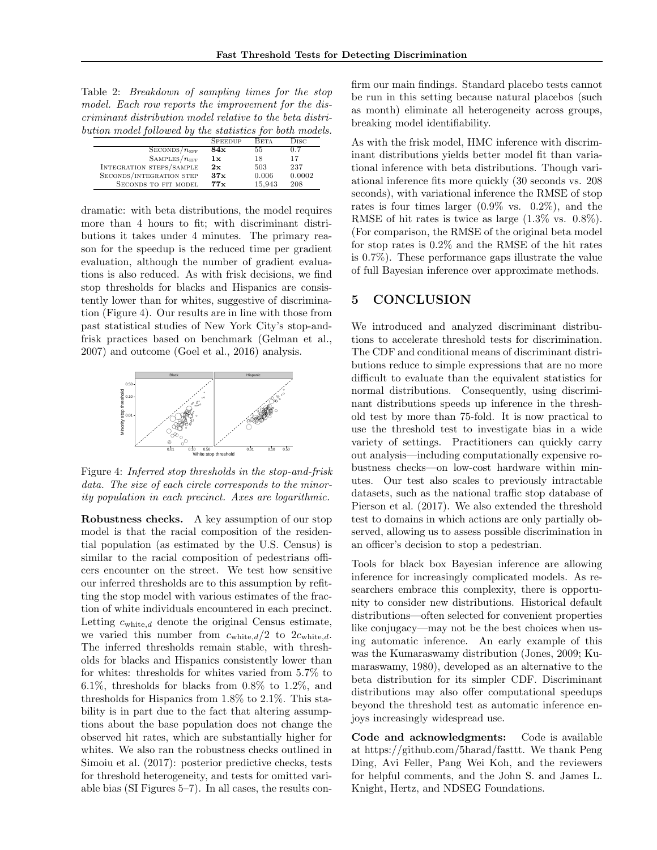| Table 2: <i>Breakdown of sampling times for the stop</i>  |  |  |  |
|-----------------------------------------------------------|--|--|--|
| model. Each row reports the improvement for the dis-      |  |  |  |
| criminant distribution model relative to the beta distri- |  |  |  |
| bution model followed by the statistics for both models.  |  |  |  |
|                                                           |  |  |  |

|                                 | <b>SPEEDUP</b> | <b>BETA</b> | $_{\rm Disc}$ |
|---------------------------------|----------------|-------------|---------------|
| $\text{SECONDS}/n_{\text{EFF}}$ | 84x            | 55          | 0.7           |
| $\text{SAMPLES}/n_{\text{EFF}}$ | 1x             | 18          | 17            |
| INTEGRATION STEPS/SAMPLE        | 2x             | 503         | 237           |
| SECONDS/INTEGRATION STEP        | 37x            | 0.006       | 0.0002        |
| SECONDS TO FIT MODEL            | 77x            | 15.943      | 208           |

dramatic: with beta distributions, the model requires more than 4 hours to fit; with discriminant distributions it takes under 4 minutes. The primary reason for the speedup is the reduced time per gradient evaluation, although the number of gradient evaluations is also reduced. As with frisk decisions, we find stop thresholds for blacks and Hispanics are consistently lower than for whites, suggestive of discrimination (Figure 4). Our results are in line with those from past statistical studies of New York City's stop-andfrisk practices based on benchmark (Gelman et al., 2007) and outcome (Goel et al., 2016) analysis.



Figure 4: Inferred stop thresholds in the stop-and-frisk data. The size of each circle corresponds to the minority population in each precinct. Axes are logarithmic.

Robustness checks. A key assumption of our stop model is that the racial composition of the residential population (as estimated by the U.S. Census) is similar to the racial composition of pedestrians officers encounter on the street. We test how sensitive our inferred thresholds are to this assumption by refitting the stop model with various estimates of the fraction of white individuals encountered in each precinct. Letting  $c_{\text{white},d}$  denote the original Census estimate, we varied this number from  $c_{\text{white},d}/2$  to  $2c_{\text{white},d}$ . The inferred thresholds remain stable, with thresholds for blacks and Hispanics consistently lower than for whites: thresholds for whites varied from 5.7% to 6.1%, thresholds for blacks from 0.8% to 1.2%, and thresholds for Hispanics from 1.8% to 2.1%. This stability is in part due to the fact that altering assumptions about the base population does not change the observed hit rates, which are substantially higher for whites. We also ran the robustness checks outlined in Simoiu et al. (2017): posterior predictive checks, tests for threshold heterogeneity, and tests for omitted variable bias (SI Figures 5–7). In all cases, the results confirm our main findings. Standard placebo tests cannot be run in this setting because natural placebos (such as month) eliminate all heterogeneity across groups, breaking model identifiability.

As with the frisk model, HMC inference with discriminant distributions yields better model fit than variational inference with beta distributions. Though variational inference fits more quickly (30 seconds vs. 208 seconds), with variational inference the RMSE of stop rates is four times larger (0.9% vs. 0.2%), and the RMSE of hit rates is twice as large (1.3% vs. 0.8%). (For comparison, the RMSE of the original beta model for stop rates is 0.2% and the RMSE of the hit rates is 0.7%). These performance gaps illustrate the value of full Bayesian inference over approximate methods.

# 5 CONCLUSION

We introduced and analyzed discriminant distributions to accelerate threshold tests for discrimination. The CDF and conditional means of discriminant distributions reduce to simple expressions that are no more difficult to evaluate than the equivalent statistics for normal distributions. Consequently, using discriminant distributions speeds up inference in the threshold test by more than 75-fold. It is now practical to use the threshold test to investigate bias in a wide variety of settings. Practitioners can quickly carry out analysis—including computationally expensive robustness checks—on low-cost hardware within minutes. Our test also scales to previously intractable datasets, such as the national traffic stop database of Pierson et al. (2017). We also extended the threshold test to domains in which actions are only partially observed, allowing us to assess possible discrimination in an officer's decision to stop a pedestrian.

Tools for black box Bayesian inference are allowing inference for increasingly complicated models. As researchers embrace this complexity, there is opportunity to consider new distributions. Historical default distributions—often selected for convenient properties like conjugacy—may not be the best choices when using automatic inference. An early example of this was the Kumaraswamy distribution (Jones, 2009; Kumaraswamy, 1980), developed as an alternative to the beta distribution for its simpler CDF. Discriminant distributions may also offer computational speedups beyond the threshold test as automatic inference enjoys increasingly widespread use.

Code and acknowledgments: Code is available at https://github.com/5harad/fasttt. We thank Peng Ding, Avi Feller, Pang Wei Koh, and the reviewers for helpful comments, and the John S. and James L. Knight, Hertz, and NDSEG Foundations.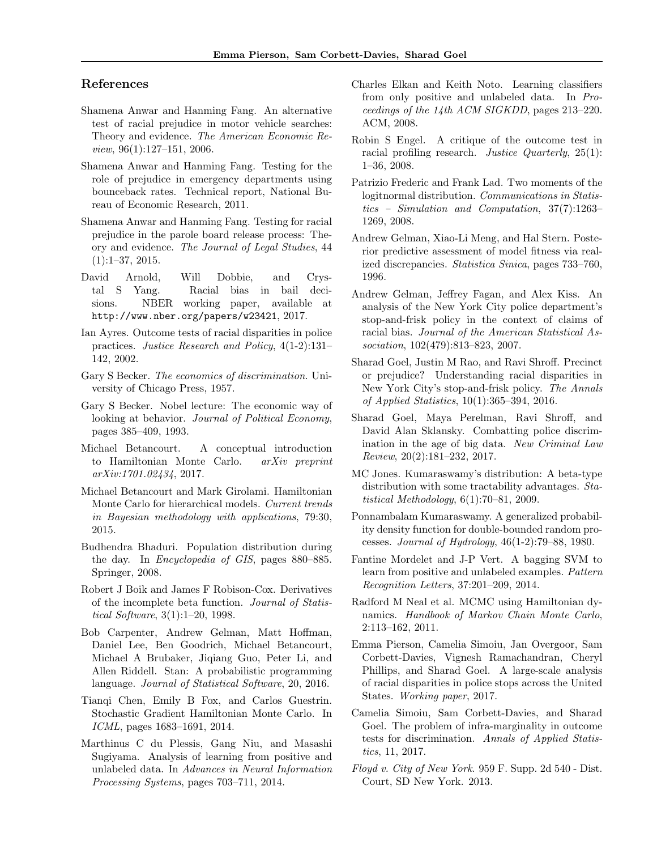### References

- Shamena Anwar and Hanming Fang. An alternative test of racial prejudice in motor vehicle searches: Theory and evidence. The American Economic Re $view, 96(1):127-151, 2006.$
- Shamena Anwar and Hanming Fang. Testing for the role of prejudice in emergency departments using bounceback rates. Technical report, National Bureau of Economic Research, 2011.
- Shamena Anwar and Hanming Fang. Testing for racial prejudice in the parole board release process: Theory and evidence. The Journal of Legal Studies, 44 (1):1–37, 2015.
- David Arnold, Will Dobbie, and Crystal S Yang. Racial bias in bail decisions. NBER working paper, available at http://www.nber.org/papers/w23421, 2017.
- Ian Ayres. Outcome tests of racial disparities in police practices. Justice Research and Policy, 4(1-2):131– 142, 2002.
- Gary S Becker. The economics of discrimination. University of Chicago Press, 1957.
- Gary S Becker. Nobel lecture: The economic way of looking at behavior. Journal of Political Economy, pages 385–409, 1993.
- Michael Betancourt. A conceptual introduction to Hamiltonian Monte Carlo. arXiv preprint arXiv:1701.02434, 2017.
- Michael Betancourt and Mark Girolami. Hamiltonian Monte Carlo for hierarchical models. Current trends in Bayesian methodology with applications, 79:30, 2015.
- Budhendra Bhaduri. Population distribution during the day. In Encyclopedia of GIS, pages 880–885. Springer, 2008.
- Robert J Boik and James F Robison-Cox. Derivatives of the incomplete beta function. Journal of Statistical Software, 3(1):1–20, 1998.
- Bob Carpenter, Andrew Gelman, Matt Hoffman, Daniel Lee, Ben Goodrich, Michael Betancourt, Michael A Brubaker, Jiqiang Guo, Peter Li, and Allen Riddell. Stan: A probabilistic programming language. Journal of Statistical Software, 20, 2016.
- Tianqi Chen, Emily B Fox, and Carlos Guestrin. Stochastic Gradient Hamiltonian Monte Carlo. In ICML, pages 1683–1691, 2014.
- Marthinus C du Plessis, Gang Niu, and Masashi Sugiyama. Analysis of learning from positive and unlabeled data. In Advances in Neural Information Processing Systems, pages 703–711, 2014.
- Charles Elkan and Keith Noto. Learning classifiers from only positive and unlabeled data. In Proceedings of the 14th ACM SIGKDD, pages 213–220. ACM, 2008.
- Robin S Engel. A critique of the outcome test in racial profiling research. Justice Quarterly, 25(1): 1–36, 2008.
- Patrizio Frederic and Frank Lad. Two moments of the logitnormal distribution. Communications in Statistics – Simulation and Computation, 37(7):1263– 1269, 2008.
- Andrew Gelman, Xiao-Li Meng, and Hal Stern. Posterior predictive assessment of model fitness via realized discrepancies. Statistica Sinica, pages 733–760, 1996.
- Andrew Gelman, Jeffrey Fagan, and Alex Kiss. An analysis of the New York City police department's stop-and-frisk policy in the context of claims of racial bias. Journal of the American Statistical Association, 102(479):813–823, 2007.
- Sharad Goel, Justin M Rao, and Ravi Shroff. Precinct or prejudice? Understanding racial disparities in New York City's stop-and-frisk policy. The Annals of Applied Statistics, 10(1):365–394, 2016.
- Sharad Goel, Maya Perelman, Ravi Shroff, and David Alan Sklansky. Combatting police discrimination in the age of big data. New Criminal Law Review, 20(2):181–232, 2017.
- MC Jones. Kumaraswamy's distribution: A beta-type distribution with some tractability advantages. Statistical Methodology, 6(1):70–81, 2009.
- Ponnambalam Kumaraswamy. A generalized probability density function for double-bounded random processes. Journal of Hydrology, 46(1-2):79–88, 1980.
- Fantine Mordelet and J-P Vert. A bagging SVM to learn from positive and unlabeled examples. Pattern Recognition Letters, 37:201–209, 2014.
- Radford M Neal et al. MCMC using Hamiltonian dynamics. Handbook of Markov Chain Monte Carlo, 2:113–162, 2011.
- Emma Pierson, Camelia Simoiu, Jan Overgoor, Sam Corbett-Davies, Vignesh Ramachandran, Cheryl Phillips, and Sharad Goel. A large-scale analysis of racial disparities in police stops across the United States. Working paper, 2017.
- Camelia Simoiu, Sam Corbett-Davies, and Sharad Goel. The problem of infra-marginality in outcome tests for discrimination. Annals of Applied Statistics, 11, 2017.
- Floyd v. City of New York. 959 F. Supp. 2d 540 Dist. Court, SD New York. 2013.